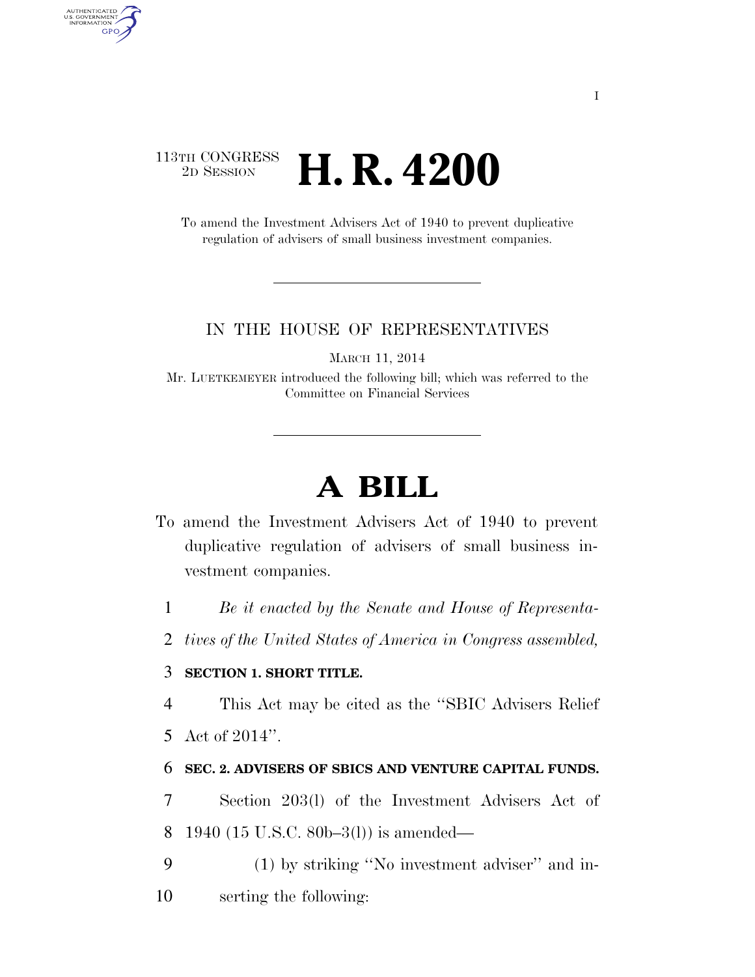# 113TH CONGRESS <sup>2D SESSION</sup> **H. R. 4200**

AUTHENTICATED<br>U.S. GOVERNMENT<br>INFORMATION **GPO** 

> To amend the Investment Advisers Act of 1940 to prevent duplicative regulation of advisers of small business investment companies.

#### IN THE HOUSE OF REPRESENTATIVES

MARCH 11, 2014

Mr. LUETKEMEYER introduced the following bill; which was referred to the Committee on Financial Services

# **A BILL**

- To amend the Investment Advisers Act of 1940 to prevent duplicative regulation of advisers of small business investment companies.
	- 1 *Be it enacted by the Senate and House of Representa-*
	- 2 *tives of the United States of America in Congress assembled,*

## 3 **SECTION 1. SHORT TITLE.**

4 This Act may be cited as the ''SBIC Advisers Relief

5 Act of 2014''.

#### 6 **SEC. 2. ADVISERS OF SBICS AND VENTURE CAPITAL FUNDS.**

7 Section 203(l) of the Investment Advisers Act of 8 1940 (15 U.S.C. 80b–3(l)) is amended—

9 (1) by striking ''No investment adviser'' and in-10 serting the following: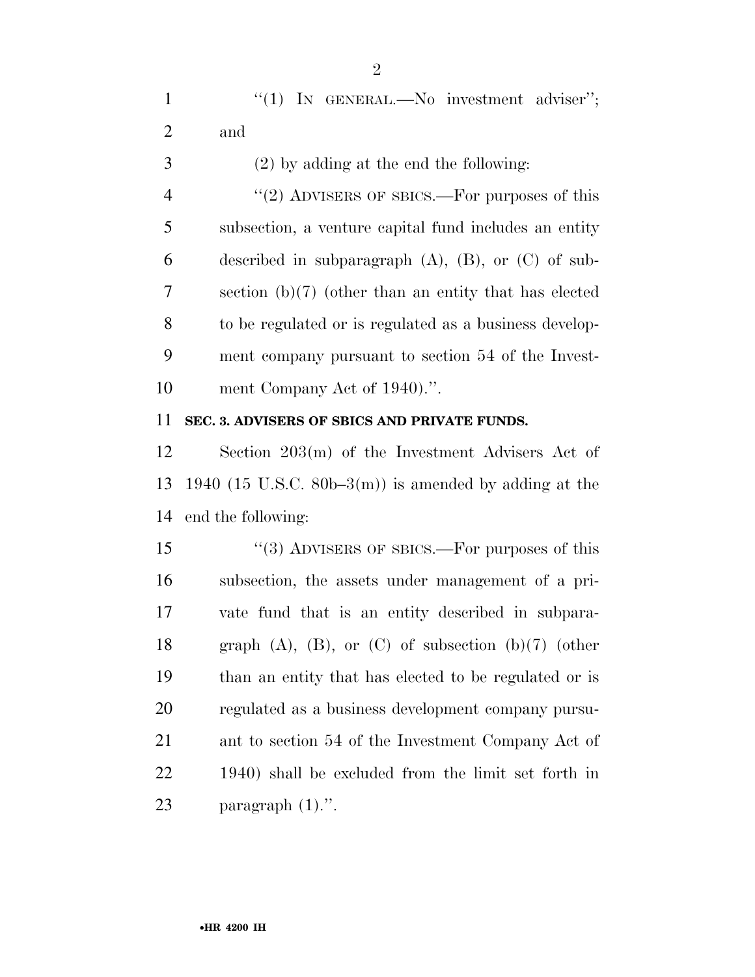|       |  | "(1) IN GENERAL.—No investment adviser"; |  |
|-------|--|------------------------------------------|--|
| 2 and |  |                                          |  |

(2) by adding at the end the following:

4 "(2) ADVISERS OF SBICS.—For purposes of this subsection, a venture capital fund includes an entity 6 described in subparagraph  $(A)$ ,  $(B)$ , or  $(C)$  of sub- section (b)(7) (other than an entity that has elected to be regulated or is regulated as a business develop- ment company pursuant to section 54 of the Invest-ment Company Act of 1940).''.

### **SEC. 3. ADVISERS OF SBICS AND PRIVATE FUNDS.**

 Section 203(m) of the Investment Advisers Act of 13 1940 (15 U.S.C. 80b–3 $(m)$ ) is amended by adding at the end the following:

15 "(3) ADVISERS OF SBICS.—For purposes of this subsection, the assets under management of a pri- vate fund that is an entity described in subpara-18 graph  $(A)$ ,  $(B)$ , or  $(C)$  of subsection  $(b)(7)$  (other than an entity that has elected to be regulated or is regulated as a business development company pursu- ant to section 54 of the Investment Company Act of 1940) shall be excluded from the limit set forth in paragraph (1).''.